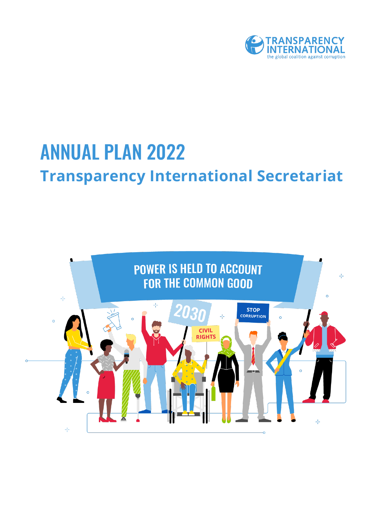

# ANNUAL PLAN 2022 **Transparency International Secretariat**

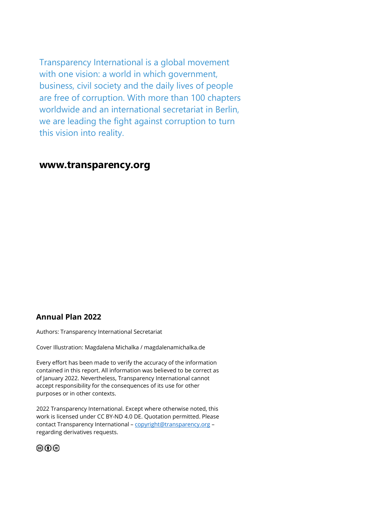Transparency International is a global movement with one vision: a world in which government, business, civil society and the daily lives of people are free of corruption. With more than 100 chapters worldwide and an international secretariat in Berlin, we are leading the fight against corruption to turn this vision into reality.

### **www.transparency.org**

#### **Annual Plan 2022**

Authors: Transparency International Secretariat

Cover Illustration: Magdalena Michalka / magdalenamichalka.de

Every effort has been made to verify the accuracy of the information contained in this report. All information was believed to be correct as of January 2022. Nevertheless, Transparency International cannot accept responsibility for the consequences of its use for other purposes or in other contexts.

2022 Transparency International. Except where otherwise noted, this work is licensed under CC BY-ND 4.0 DE. Quotation permitted. Please contact Transparency International - [copyright@transparency.org](mailto:copyright@transparency.org) regarding derivatives requests.

 $\textcircled{\scriptsize{\textcircled{\tiny{1}}}}$   $\textcircled{\scriptsize{\textcircled{\tiny{1}}}}$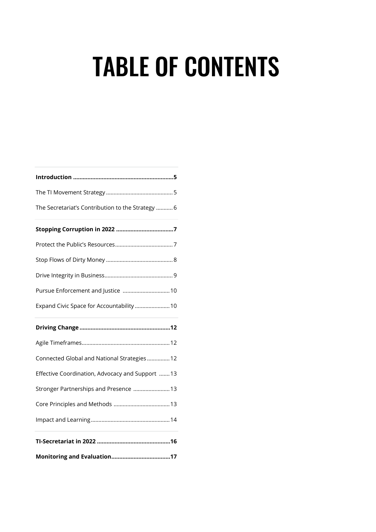# TABLE OF CONTENTS

| The Secretariat's Contribution to the Strategy  6 |  |
|---------------------------------------------------|--|
|                                                   |  |
|                                                   |  |
|                                                   |  |
|                                                   |  |
| Pursue Enforcement and Justice  10                |  |
| Expand Civic Space for Accountability  10         |  |
|                                                   |  |
|                                                   |  |
|                                                   |  |
| Connected Global and National Strategies 12       |  |
| Effective Coordination, Advocacy and Support  13  |  |
| Stronger Partnerships and Presence  13            |  |
|                                                   |  |
|                                                   |  |
|                                                   |  |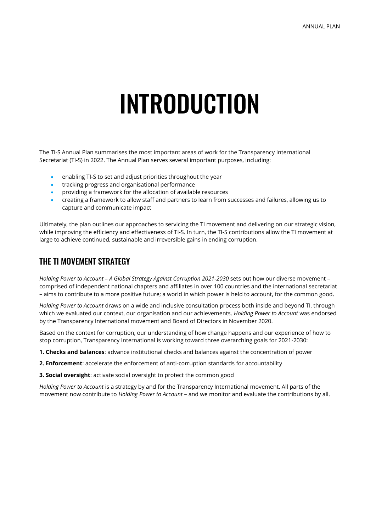# INTRODUCTION

<span id="page-3-0"></span>The TI-S Annual Plan summarises the most important areas of work for the Transparency International Secretariat (TI-S) in 2022. The Annual Plan serves several important purposes, including:

- enabling TI-S to set and adjust priorities throughout the year
- tracking progress and organisational performance
- providing a framework for the allocation of available resources
- creating a framework to allow staff and partners to learn from successes and failures, allowing us to capture and communicate impact

Ultimately, the plan outlines our approaches to servicing the TI movement and delivering on our strategic vision, while improving the efficiency and effectiveness of TI-S. In turn, the TI-S contributions allow the TI movement at large to achieve continued, sustainable and irreversible gains in ending corruption.

#### <span id="page-3-1"></span>THE TI MOVEMENT STRATEGY

*Holding Power to Account – A Global Strategy Against Corruption 2021-2030* sets out how our diverse movement – comprised of independent national chapters and affiliates in over 100 countries and the international secretariat – aims to contribute to a more positive future; a world in which power is held to account, for the common good.

*Holding Power to Account* draws on a wide and inclusive consultation process both inside and beyond TI, through which we evaluated our context, our organisation and our achievements. *Holding Power to Account* was endorsed by the Transparency International movement and Board of Directors in November 2020.

Based on the context for corruption, our understanding of how change happens and our experience of how to stop corruption, Transparency International is working toward three overarching goals for 2021-2030:

- **1. Checks and balances**: advance institutional checks and balances against the concentration of power
- **2. Enforcement**: accelerate the enforcement of anti-corruption standards for accountability
- **3. Social oversight**: activate social oversight to protect the common good

*Holding Power to Account* is a strategy by and for the Transparency International movement. All parts of the movement now contribute to *Holding Power to Account* – and we monitor and evaluate the contributions by all.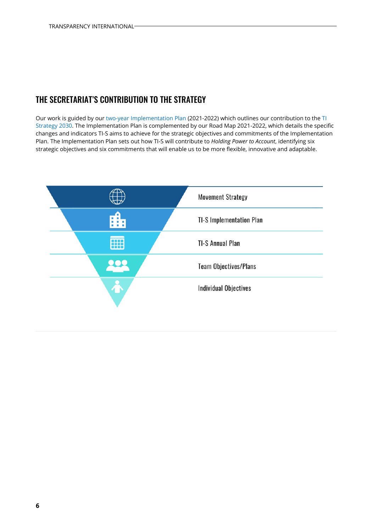# <span id="page-4-0"></span>THE SECRETARIAT'S CONTRIBUTION TO THE STRATEGY

Our work is guided by our [two-year Implementation Plan](https://images.transparencycdn.org/images/TI-S-Implementation-Plan-2021-2022.pdf) (2021-2022) which outlines our contribution to the [TI](https://www.transparency.org/en/the-organisation/our-strategy)  [Strategy 2030.](https://www.transparency.org/en/the-organisation/our-strategy) The Implementation Plan is complemented by our Road Map 2021-2022, which details the specific changes and indicators TI-S aims to achieve for the strategic objectives and commitments of the Implementation Plan. The Implementation Plan sets out how TI-S will contribute to *Holding Power to Account*, identifying six strategic objectives and six commitments that will enable us to be more flexible, innovative and adaptable.

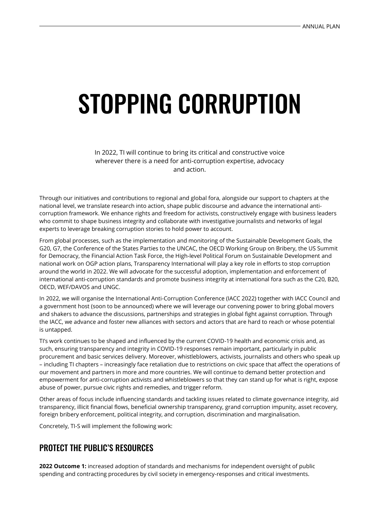# <span id="page-5-0"></span>STOPPING CORRUPTION

In 2022, TI will continue to bring its critical and constructive voice wherever there is a need for anti-corruption expertise, advocacy and action.

Through our initiatives and contributions to regional and global fora, alongside our support to chapters at the national level, we translate research into action, shape public discourse and advance the international anticorruption framework. We enhance rights and freedom for activists, constructively engage with business leaders who commit to shape business integrity and collaborate with investigative journalists and networks of legal experts to leverage breaking corruption stories to hold power to account.

From global processes, such as the implementation and monitoring of the Sustainable Development Goals, the G20, G7, the Conference of the States Parties to the UNCAC, the OECD Working Group on Bribery, the US Summit for Democracy, the Financial Action Task Force, the High-level Political Forum on Sustainable Development and national work on OGP action plans, Transparency International will play a key role in efforts to stop corruption around the world in 2022. We will advocate for the successful adoption, implementation and enforcement of international anti-corruption standards and promote business integrity at international fora such as the C20, B20, OECD, WEF/DAVOS and UNGC.

In 2022, we will organise the International Anti-Corruption Conference (IACC 2022) together with IACC Council and a government host (soon to be announced) where we will leverage our convening power to bring global movers and shakers to advance the discussions, partnerships and strategies in global fight against corruption. Through the IACC, we advance and foster new alliances with sectors and actors that are hard to reach or whose potential is untapped.

TI's work continues to be shaped and influenced by the current COVID-19 health and economic crisis and, as such, ensuring transparency and integrity in COVID-19 responses remain important, particularly in public procurement and basic services delivery. Moreover, whistleblowers, activists, journalists and others who speak up – including TI chapters – increasingly face retaliation due to restrictions on civic space that affect the operations of our movement and partners in more and more countries. We will continue to demand better protection and empowerment for anti-corruption activists and whistleblowers so that they can stand up for what is right, expose abuse of power, pursue civic rights and remedies, and trigger reform.

Other areas of focus include influencing standards and tackling issues related to climate governance integrity, aid transparency, illicit financial flows, beneficial ownership transparency, grand corruption impunity, asset recovery, foreign bribery enforcement, political integrity, and corruption, discrimination and marginalisation.

Concretely, TI-S will implement the following work:

#### <span id="page-5-1"></span>PROTECT THE PUBLIC'S RESOURCES

**2022 Outcome 1:** increased adoption of standards and mechanisms for independent oversight of public spending and contracting procedures by civil society in emergency-responses and critical investments.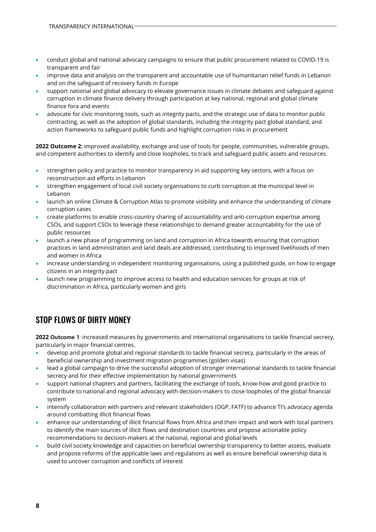- conduct global and national advocacy campaigns to ensure that public procurement related to COVID-19 is transparent and fair
- improve data and analysis on the transparent and accountable use of humanitarian relief funds in Lebanon and on the safeguard of recovery funds in Europe
- support national and global advocacy to elevate governance issues in climate debates and safeguard against corruption in climate finance delivery through participation at key national, regional and global climate finance fora and events
- advocate for civic monitoring tools, such as integrity pacts, and the strategic use of data to monitor public contracting, as well as the adoption of global standards, including the integrity pact global standard, and action frameworks to safeguard public funds and highlight corruption risks in procurement

**2022 Outcome 2:** improved availability, exchange and use of tools for people, communities, vulnerable groups, and competent authorities to identify and close loopholes, to track and safeguard public assets and resources.

- strengthen policy and practice to monitor transparency in aid supporting key sectors, with a focus on reconstruction aid efforts in Lebanon
- strengthen engagement of local civil society organisations to curb corruption at the municipal level in Lebanon
- launch an online Climate & Corruption Atlas to promote visibility and enhance the understanding of climate corruption cases
- create platforms to enable cross-country sharing of accountability and anti-corruption expertise among CSOs, and support CSOs to leverage these relationships to demand greater accountability for the use of public resources
- launch a new phase of programming on land and corruption in Africa towards ensuring that corruption practices in land administration and land deals are addressed, contributing to improved livelihoods of men and women in Africa
- increase understanding in independent monitoring organisations, using a published guide, on how to engage citizens in an integrity pact
- launch new programming to improve access to health and education services for groups at risk of discrimination in Africa, particularly women and girls

## <span id="page-6-0"></span>STOP FLOWS OF DIRTY MONFY

**2022 Outcome 1**: increased measures by governments and international organisations to tackle financial secrecy, particularly in major financial centres.

- develop and promote global and regional standards to tackle financial secrecy, particularly in the areas of beneficial ownership and investment migration programmes (golden visas)
- lead a global campaign to drive the successful adoption of stronger international standards to tackle financial secrecy and for their effective implementation by national governments
- support national chapters and partners, facilitating the exchange of tools, know-how and good practice to contribute to national and regional advocacy with decision-makers to close loopholes of the global financial system
- intensify collaboration with partners and relevant stakeholders (OGP, FATF) to advance TI's advocacy agenda around combatting illicit financial flows
- enhance our understanding of illicit financial flows from Africa and their impact and work with local partners to identify the main sources of illicit flows and destination countries and propose actionable policy recommendations to decision-makers at the national, regional and global levels
- build civil society knowledge and capacities on beneficial ownership transparency to better assess, evaluate and propose reforms of the applicable laws and regulations as well as ensure beneficial ownership data is used to uncover corruption and conflicts of interest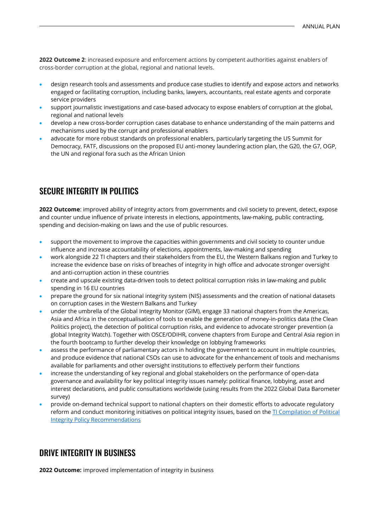**2022 Outcome 2**: increased exposure and enforcement actions by competent authorities against enablers of cross-border corruption at the global, regional and national levels.

- design research tools and assessments and produce case studies to identify and expose actors and networks engaged or facilitating corruption, including banks, lawyers, accountants, real estate agents and corporate service providers
- support journalistic investigations and case-based advocacy to expose enablers of corruption at the global, regional and national levels
- develop a new cross-border corruption cases database to enhance understanding of the main patterns and mechanisms used by the corrupt and professional enablers
- advocate for more robust standards on professional enablers, particularly targeting the US Summit for Democracy, FATF, discussions on the proposed EU anti-money laundering action plan, the G20, the G7, OGP, the UN and regional fora such as the African Union

#### SECURE INTEGRITY IN POLITICS

**2022 Outcome**: improved ability of integrity actors from governments and civil society to prevent, detect, expose and counter undue influence of private interests in elections, appointments, law-making, public contracting, spending and decision-making on laws and the use of public resources.

- support the movement to improve the capacities within governments and civil society to counter undue influence and increase accountability of elections, appointments, law-making and spending
- work alongside 22 TI chapters and their stakeholders from the EU, the Western Balkans region and Turkey to increase the evidence base on risks of breaches of integrity in high office and advocate stronger oversight and anti-corruption action in these countries
- create and upscale existing data-driven tools to detect political corruption risks in law-making and public spending in 16 EU countries
- prepare the ground for six national integrity system (NIS) assessments and the creation of national datasets on corruption cases in the Western Balkans and Turkey
- under the umbrella of the Global Integrity Monitor (GIM), engage 33 national chapters from the Americas, Asia and Africa in the conceptualisation of tools to enable the generation of money-in-politics data (the Clean Politics project), the detection of political corruption risks, and evidence to advocate stronger prevention (a global Integrity Watch). Together with OSCE/ODIHR, convene chapters from Europe and Central Asia region in the fourth bootcamp to further develop their knowledge on lobbying frameworks
- assess the performance of parliamentary actors in holding the government to account in multiple countries, and produce evidence that national CSOs can use to advocate for the enhancement of tools and mechanisms available for parliaments and other oversight institutions to effectively perform their functions
- increase the understanding of key regional and global stakeholders on the performance of open-data governance and availability for key political integrity issues namely: political finance, lobbying, asset and interest declarations, and public consultations worldwide (using results from the 2022 Global Data Barometer survey)
- provide on-demand technical support to national chapters on their domestic efforts to advocate regulatory reform and conduct monitoring initiatives on political integrity issues, based on the [TI Compilation of Political](https://transparencyinternational.sharepoint.com/:w:/r/Priorities/Shared%20Documents/Political%20Integrity%20Global%20-%20Docs/Draft%20TI%20Policy%20Recommendations%20and%20Conceptualisation/Draft%20Compilation%20Political%20Integrity%2025%20Oct%202020.docx?d=w0925f170ccbb4dc2bb5660182a593045&csf=1&web=1&e=C7Lid9)  [Integrity Policy Recommendations](https://transparencyinternational.sharepoint.com/:w:/r/Priorities/Shared%20Documents/Political%20Integrity%20Global%20-%20Docs/Draft%20TI%20Policy%20Recommendations%20and%20Conceptualisation/Draft%20Compilation%20Political%20Integrity%2025%20Oct%202020.docx?d=w0925f170ccbb4dc2bb5660182a593045&csf=1&web=1&e=C7Lid9)

#### <span id="page-7-0"></span>DRIVE INTEGRITY IN BUSINESS

**2022 Outcome:** improved implementation of integrity in business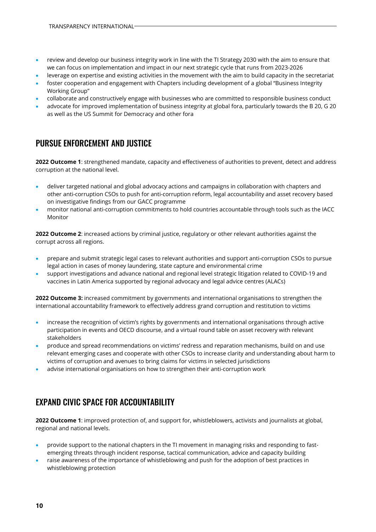- review and develop our business integrity work in line with the TI Strategy 2030 with the aim to ensure that we can focus on implementation and impact in our next strategic cycle that runs from 2023-2026
- leverage on expertise and existing activities in the movement with the aim to build capacity in the secretariat
- foster cooperation and engagement with Chapters including development of a global "Business Integrity Working Group"
- collaborate and constructively engage with businesses who are committed to responsible business conduct
- advocate for improved implementation of business integrity at global fora, particularly towards the B 20, G 20 as well as the US Summit for Democracy and other fora

#### <span id="page-8-0"></span>PURSUE ENFORCEMENT AND JUSTICE

**2022 Outcome 1**: strengthened mandate, capacity and effectiveness of authorities to prevent, detect and address corruption at the national level.

- deliver targeted national and global advocacy actions and campaigns in collaboration with chapters and other anti-corruption CSOs to push for anti-corruption reform, legal accountability and asset recovery based on investigative findings from our GACC programme
- monitor national anti-corruption commitments to hold countries accountable through tools such as the IACC Monitor

**2022 Outcome 2**: increased actions by criminal justice, regulatory or other relevant authorities against the corrupt across all regions.

- prepare and submit strategic legal cases to relevant authorities and support anti-corruption CSOs to pursue legal action in cases of money laundering, state capture and environmental crime
- support investigations and advance national and regional level strategic litigation related to COVID-19 and vaccines in Latin America supported by regional advocacy and legal advice centres (ALACs)

**2022 Outcome 3:** increased commitment by governments and international organisations to strengthen the international accountability framework to effectively address grand corruption and restitution to victims

- increase the recognition of victim's rights by governments and international organisations through active participation in events and OECD discourse, and a virtual round table on asset recovery with relevant stakeholders
- produce and spread recommendations on victims' redress and reparation mechanisms, build on and use relevant emerging cases and cooperate with other CSOs to increase clarity and understanding about harm to victims of corruption and avenues to bring claims for victims in selected jurisdictions
- advise international organisations on how to strengthen their anti-corruption work

## <span id="page-8-1"></span>EXPAND CIVIC SPACE FOR ACCOUNTABILITY

**2022 Outcome 1**: improved protection of, and support for, whistleblowers, activists and journalists at global, regional and national levels.

- provide support to the national chapters in the TI movement in managing risks and responding to fastemerging threats through incident response, tactical communication, advice and capacity building
- raise awareness of the importance of whistleblowing and push for the adoption of best practices in whistleblowing protection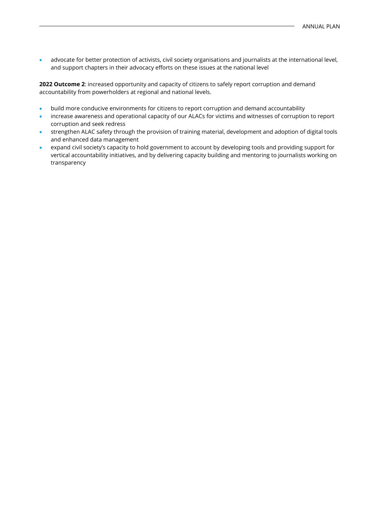• advocate for better protection of activists, civil society organisations and journalists at the international level, and support chapters in their advocacy efforts on these issues at the national level

**2022 Outcome 2**: increased opportunity and capacity of citizens to safely report corruption and demand accountability from powerholders at regional and national levels.

- build more conducive environments for citizens to report corruption and demand accountability
- increase awareness and operational capacity of our ALACs for victims and witnesses of corruption to report corruption and seek redress
- strengthen ALAC safety through the provision of training material, development and adoption of digital tools and enhanced data management
- expand civil society's capacity to hold government to account by developing tools and providing support for vertical accountability initiatives, and by delivering capacity building and mentoring to journalists working on transparency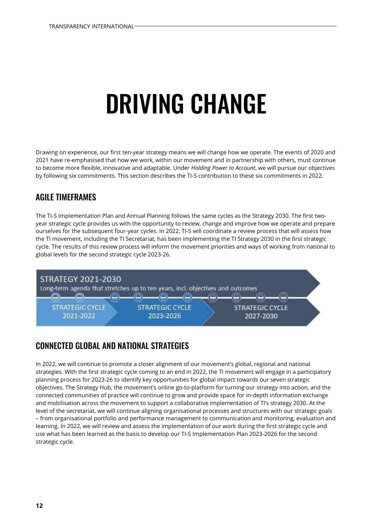# DRIVING CHANGE

<span id="page-10-0"></span>Drawing on experience, our first ten-year strategy means we will change how we operate. The events of 2020 and 2021 have re-emphasised that how we work, within our movement and in partnership with others, must continue to become more flexible, innovative and adaptable. Under *Holding Power to Account*, we will pursue our objectives by following six commitments. This section describes the TI-S contribution to these six commitments in 2022.

### <span id="page-10-1"></span>AGILE TIMEFRAMES

The TI-S Implementation Plan and Annual Planning follows the same cycles as the Strategy 2030. The first twoyear strategic cycle provides us with the opportunity to review, change and improve how we operate and prepare ourselves for the subsequent four-year cycles. In 2022, TI-S will coordinate a review process that will assess how the TI movement, including the TI Secretariat, has been implementing the TI Strategy 2030 in the first strategic cycle. The results of this review process will inform the movement priorities and ways of working from national to global levels for the second strategic cycle 2023-26.



## <span id="page-10-2"></span>CONNECTED GLOBAL AND NATIONAL STRATEGIES

In 2022, we will continue to promote a closer alignment of our movement's global, regional and national strategies. With the first strategic cycle coming to an end in 2022, the TI movement will engage in a participatory planning process for 2023-26 to identify key opportunities for global impact towards our seven strategic objectives. The Strategy Hub, the movement's online go-to-platform for turning our strategy into action, and the connected communities of practice will continue to grow and provide space for in-depth information exchange and mobilisation across the movement to support a collaborative implementation of TI's strategy 2030. At the level of the secretariat, we will continue aligning organisational processes and structures with our strategic goals – from organisational portfolio and performance management to communication and monitoring, evaluation and learning. In 2022, we will review and assess the implementation of our work during the first strategic cycle and use what has been learned as the basis to develop our TI-S Implementation Plan 2023-2026 for the second strategic cycle.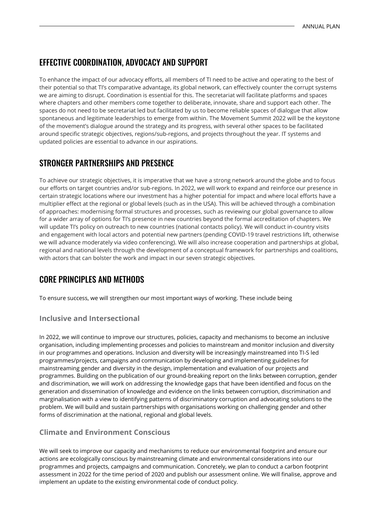### <span id="page-11-0"></span>EFFECTIVE COORDINATION, ADVOCACY AND SUPPORT

To enhance the impact of our advocacy efforts, all members of TI need to be active and operating to the best of their potential so that TI's comparative advantage, its global network, can effectively counter the corrupt systems we are aiming to disrupt. Coordination is essential for this. The secretariat will facilitate platforms and spaces where chapters and other members come together to deliberate, innovate, share and support each other. The spaces do not need to be secretariat led but facilitated by us to become reliable spaces of dialogue that allow spontaneous and legitimate leaderships to emerge from within. The Movement Summit 2022 will be the keystone of the movement's dialogue around the strategy and its progress, with several other spaces to be facilitated around specific strategic objectives, regions/sub-regions, and projects throughout the year. IT systems and updated policies are essential to advance in our aspirations.

### <span id="page-11-1"></span>STRONGER PARTNERSHIPS AND PRESENCE

To achieve our strategic objectives, it is imperative that we have a strong network around the globe and to focus our efforts on target countries and/or sub-regions. In 2022, we will work to expand and reinforce our presence in certain strategic locations where our investment has a higher potential for impact and where local efforts have a multiplier effect at the regional or global levels (such as in the USA). This will be achieved through a combination of approaches: modernising formal structures and processes, such as reviewing our global governance to allow for a wider array of options for TI's presence in new countries beyond the formal accreditation of chapters. We will update TI's policy on outreach to new countries (national contacts policy). We will conduct in-country visits and engagement with local actors and potential new partners (pending COVID-19 travel restrictions lift, otherwise we will advance moderately via video conferencing). We will also increase cooperation and partnerships at global, regional and national levels through the development of a conceptual framework for partnerships and coalitions, with actors that can bolster the work and impact in our seven strategic objectives.

#### <span id="page-11-2"></span>CORE PRINCIPLES AND METHODS

To ensure success, we will strengthen our most important ways of working. These include being

#### **Inclusive and Intersectional**

In 2022, we will continue to improve our structures, policies, capacity and mechanisms to become an inclusive organisation, including implementing processes and policies to mainstream and monitor inclusion and diversity in our programmes and operations. Inclusion and diversity will be increasingly mainstreamed into TI-S led programmes/projects, campaigns and communication by developing and implementing guidelines for mainstreaming gender and diversity in the design, implementation and evaluation of our projects and programmes. Building on the publication of our ground-breaking report on the links between corruption, gender and discrimination, we will work on addressing the knowledge gaps that have been identified and focus on the generation and dissemination of knowledge and evidence on the links between corruption, discrimination and marginalisation with a view to identifying patterns of discriminatory corruption and advocating solutions to the problem. We will build and sustain partnerships with organisations working on challenging gender and other forms of discrimination at the national, regional and global levels.

#### **Climate and Environment Conscious**

We will seek to improve our capacity and mechanisms to reduce our environmental footprint and ensure our actions are ecologically conscious by mainstreaming climate and environmental considerations into our programmes and projects, campaigns and communication. Concretely, we plan to conduct a carbon footprint assessment in 2022 for the time period of 2020 and publish our assessment online. We will finalise, approve and implement an update to the existing environmental code of conduct policy.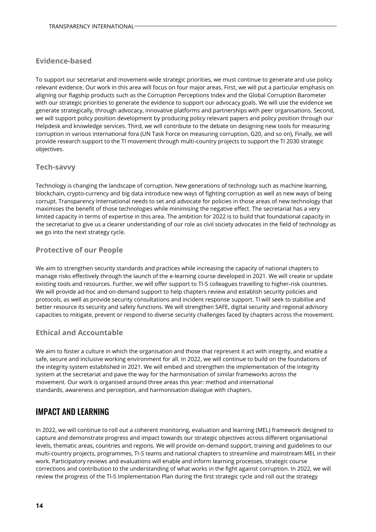#### **Evidence-based**

To support our secretariat and movement-wide strategic priorities, we must continue to generate and use policy relevant evidence. Our work in this area will focus on four major areas. First, we will put a particular emphasis on aligning our flagship products such as the Corruption Perceptions Index and the Global Corruption Barometer with our strategic priorities to generate the evidence to support our advocacy goals. We will use the evidence we generate strategically, through advocacy, innovative platforms and partnerships with peer organisations. Second, we will support policy position development by producing policy relevant papers and policy position through our Helpdesk and knowledge services. Third, we will contribute to the debate on designing new tools for measuring corruption in various international fora (UN Task Force on measuring corruption, G20, and so on), Finally, we will provide research support to the TI movement through multi-country projects to support the TI 2030 strategic objectives.

#### **Tech-savvy**

Technology is changing the landscape of corruption. New generations of technology such as machine learning, blockchain, crypto-currency and big data introduce new ways of fighting corruption as well as new ways of being corrupt. Transparency International needs to set and advocate for policies in those areas of new technology that maximises the benefit of those technologies while minimising the negative effect. The secretariat has a very limited capacity in terms of expertise in this area. The ambition for 2022 is to build that foundational capacity in the secretariat to give us a clearer understanding of our role as civil society advocates in the field of technology as we go into the next strategy cycle.

#### **Protective of our People**

We aim to strengthen security standards and practices while increasing the capacity of national chapters to manage risks effectively through the launch of the e-learning course developed in 2021. We will create or update existing tools and resources. Further, we will offer support to TI-S colleagues travelling to higher-risk countries. We will provide ad-hoc and on-demand support to help chapters review and establish security policies and protocols, as well as provide security consultations and incident response support. TI will seek to stabilise and better resource its security and safety functions. We will strengthen SAFE, digital security and regional advisory capacities to mitigate, prevent or respond to diverse security challenges faced by chapters across the movement.

#### **Ethical and Accountable**

We aim to foster a culture in which the organisation and those that represent it act with integrity, and enable a safe, secure and inclusive working environment for all. In 2022, we will continue to build on the foundations of the integrity system established in 2021. We will embed and strengthen the implementation of the integrity system at the secretariat and pave the way for the harmonisation of similar frameworks across the movement. Our work is organised around three areas this year: method and international standards, awareness and perception, and harmonisation dialogue with chapters.

#### <span id="page-12-0"></span>IMPACT AND LEARNING

In 2022, we will continue to roll out a coherent monitoring, evaluation and learning (MEL) framework designed to capture and demonstrate progress and impact towards our strategic objectives across different organisational levels, thematic areas, countries and regions. We will provide on-demand support, training and guidelines to our multi-country projects, programmes, TI-S teams and national chapters to streamline and mainstream MEL in their work. Participatory reviews and evaluations will enable and inform learning processes, strategic course corrections and contribution to the understanding of what works in the fight against corruption. In 2022, we will review the progress of the TI-S Implementation Plan during the first strategic cycle and roll out the strategy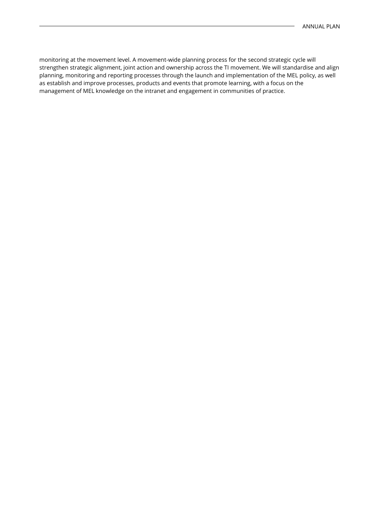monitoring at the movement level. A movement-wide planning process for the second strategic cycle will strengthen strategic alignment, joint action and ownership across the TI movement. We will standardise and align planning, monitoring and reporting processes through the launch and implementation of the MEL policy, as well as establish and improve processes, products and events that promote learning, with a focus on the management of MEL knowledge on the intranet and engagement in communities of practice.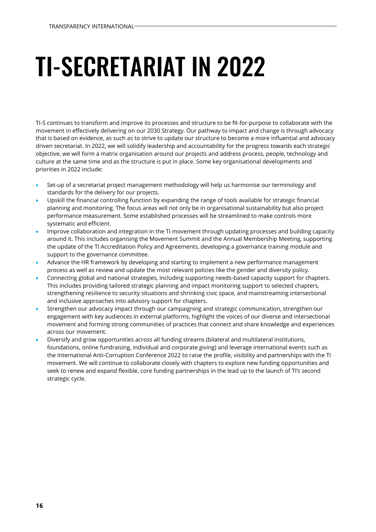# <span id="page-14-0"></span>TI-SECRETARIAT IN 2022

TI-S continues to transform and improve its processes and structure to be fit-for-purpose to collaborate with the movement in effectively delivering on our 2030 Strategy. Our pathway to impact and change is through advocacy that is based on evidence, as such as to strive to update our structure to become a more influential and advocacy driven secretariat. In 2022, we will solidify leadership and accountability for the progress towards each strategic objective, we will form a matrix organisation around our projects and address process, people, technology and culture at the same time and as the structure is put in place. Some key organisational developments and priorities in 2022 include:

- Set-up of a secretariat project management methodology will help us harmonise our terminology and standards for the delivery for our projects.
- Upskill the financial controlling function by expanding the range of tools available for strategic financial planning and monitoring. The focus areas will not only be in organisational sustainability but also project performance measurement. Some established processes will be streamlined to make controls more systematic and efficient.
- Improve collaboration and integration in the TI movement through updating processes and building capacity around it. This includes organising the Movement Summit and the Annual Membership Meeting, supporting the update of the TI Accreditation Policy and Agreements, developing a governance training module and support to the governance committee.
- Advance the HR framework by developing and starting to implement a new performance management process as well as review and update the most relevant policies like the gender and diversity policy.
- Connecting global and national strategies, including supporting needs-based capacity support for chapters. This includes providing tailored strategic planning and impact monitoring support to selected chapters, strengthening resilience to security situations and shrinking civic space, and mainstreaming intersectional and inclusive approaches into advisory support for chapters.
- Strengthen our advocacy impact through our campaigning and strategic communication, strengthen our engagement with key audiences in external platforms, highlight the voices of our diverse and intersectional movement and forming strong communities of practices that connect and share knowledge and experiences across our movement.
- Diversify and grow opportunities across all funding streams (bilateral and multilateral institutions, foundations, online fundraising, individual and corporate giving) and leverage international events such as the International Anti-Corruption Conference 2022 to raise the profile, visibility and partnerships with the TI movement. We will continue to collaborate closely with chapters to explore new funding opportunities and seek to renew and expand flexible, core funding partnerships in the lead up to the launch of TI's second strategic cycle.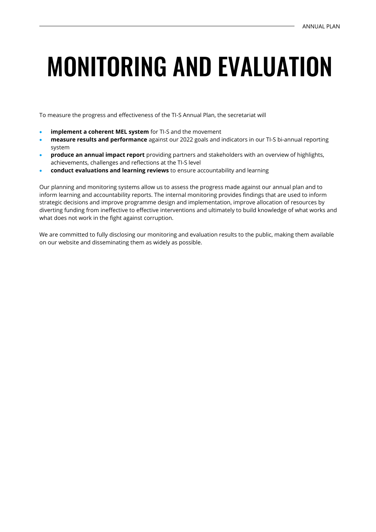# <span id="page-15-0"></span>MONITORING AND EVALUATION

To measure the progress and effectiveness of the TI-S Annual Plan, the secretariat will

- **implement a coherent MEL system** for TI-S and the movement
- **measure results and performance** against our 2022 goals and indicators in our TI-S bi-annual reporting system
- **produce an annual impact report** providing partners and stakeholders with an overview of highlights, achievements, challenges and reflections at the TI-S level
- **conduct evaluations and learning reviews** to ensure accountability and learning

Our planning and monitoring systems allow us to assess the progress made against our annual plan and to inform learning and accountability reports. The internal monitoring provides findings that are used to inform strategic decisions and improve programme design and implementation, improve allocation of resources by diverting funding from ineffective to effective interventions and ultimately to build knowledge of what works and what does not work in the fight against corruption.

We are committed to fully disclosing our monitoring and evaluation results to the public, making them available on our website and disseminating them as widely as possible.